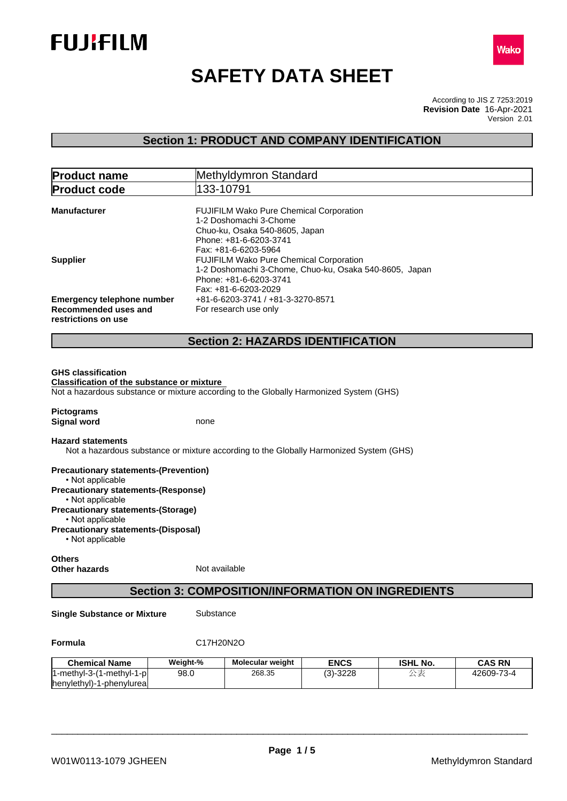



# **SAFETY DATA SHEET**

According to JIS Z 7253:2019 Version 2.01 **Revision Date** 16-Apr-2021

# **Section 1: PRODUCT AND COMPANY IDENTIFICATION**

| <b>Product name</b>                               | Methyldymron Standard                                                                  |  |  |
|---------------------------------------------------|----------------------------------------------------------------------------------------|--|--|
| <b>Product code</b>                               | 133-10791                                                                              |  |  |
|                                                   |                                                                                        |  |  |
| <b>Manufacturer</b>                               | FUJIFILM Wako Pure Chemical Corporation                                                |  |  |
|                                                   | 1-2 Doshomachi 3-Chome                                                                 |  |  |
|                                                   | Chuo-ku, Osaka 540-8605, Japan                                                         |  |  |
|                                                   | Phone: +81-6-6203-3741                                                                 |  |  |
|                                                   | Fax: +81-6-6203-5964                                                                   |  |  |
| <b>Supplier</b>                                   | FUJIFILM Wako Pure Chemical Corporation                                                |  |  |
|                                                   | 1-2 Doshomachi 3-Chome, Chuo-ku, Osaka 540-8605, Japan                                 |  |  |
|                                                   | Phone: +81-6-6203-3741                                                                 |  |  |
|                                                   | Fax: +81-6-6203-2029                                                                   |  |  |
| <b>Emergency telephone number</b>                 | +81-6-6203-3741 / +81-3-3270-8571                                                      |  |  |
| Recommended uses and                              | For research use only                                                                  |  |  |
| restrictions on use                               |                                                                                        |  |  |
|                                                   | <b>Section 2: HAZARDS IDENTIFICATION</b>                                               |  |  |
|                                                   |                                                                                        |  |  |
| <b>GHS</b> classification                         |                                                                                        |  |  |
| <b>Classification of the substance or mixture</b> |                                                                                        |  |  |
|                                                   | Not a hazardous substance or mixture according to the Globally Harmonized System (GHS) |  |  |
| <b>Pictograms</b>                                 |                                                                                        |  |  |
| <b>Signal word</b>                                | none                                                                                   |  |  |
|                                                   |                                                                                        |  |  |
| <b>Hazard statements</b>                          |                                                                                        |  |  |

Not a hazardous substance or mixture according to the Globally Harmonized System (GHS)

**Precautionary statements-(Prevention)** • Not applicable **Precautionary statements-(Response)** • Not applicable **Precautionary statements-(Storage)** • Not applicable **Precautionary statements-(Disposal)** • Not applicable

**Others Other hazards** Not available

# **Section 3: COMPOSITION/INFORMATION ON INGREDIENTS**

**Single Substance or Mixture** Substance

**Formula** C17H20N2O

| <b>Chemical Name</b>                | Weight-% | <b>Molecular weight</b> | <b>ENCS</b>             | <b>ISHL No.</b> | <b>CAS RN</b>                     |
|-------------------------------------|----------|-------------------------|-------------------------|-----------------|-----------------------------------|
| $1$ -methyl-3- $($<br>1-methyl-1-pl | 98.0     | 268.35                  | $-3228$<br>(2)<br>- ان. | $\rightarrow$ 2 | 42609-73-<br>- ا <sup>ر</sup> - ت |
| henylethyl)-1<br>-phenylureal       |          |                         |                         |                 |                                   |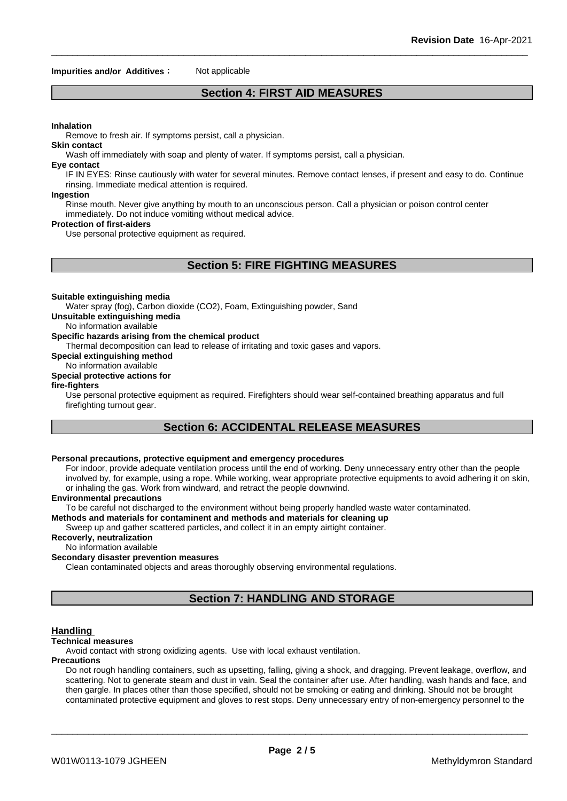#### **Impurities and/or Additives**: Not applicable

# **Section 4: FIRST AID MEASURES**

#### **Inhalation**

Remove to fresh air. If symptoms persist, call a physician.

**Skin contact**

Wash off immediately with soap and plenty of water. If symptoms persist, call a physician.

#### **Eye contact**

IF IN EYES: Rinse cautiously with water for several minutes. Remove contact lenses, if present and easy to do. Continue rinsing. Immediate medical attention is required.

#### **Ingestion**

Rinse mouth. Never give anything by mouth to an unconscious person. Call a physician or poison control center immediately. Do not induce vomiting without medical advice.

#### **Protection of first-aiders**

Use personal protective equipment as required.

# **Section 5: FIRE FIGHTING MEASURES**

#### **Suitable extinguishing media**

Water spray (fog), Carbon dioxide (CO2), Foam, Extinguishing powder, Sand

**Unsuitable extinguishing media**

# No information available

#### **Specific hazards arising from the chemical product**

Thermal decomposition can lead to release of irritating and toxic gases and vapors.

# **Special extinguishing method**

#### No information available **Special protective actions for**

#### **fire-fighters**

Use personal protective equipment as required.Firefighters should wear self-contained breathing apparatus and full firefighting turnout gear.

# **Section 6: ACCIDENTAL RELEASE MEASURES**

#### **Personal precautions, protective equipment and emergency procedures**

For indoor, provide adequate ventilation process until the end of working. Deny unnecessary entry other than the people involved by, for example, using a rope. While working, wear appropriate protective equipments to avoid adhering it on skin, or inhaling the gas. Work from windward, and retract the people downwind.

#### **Environmental precautions**

To be careful not discharged to the environment without being properly handled waste water contaminated.

### **Methods and materials for contaminent and methods and materials for cleaning up**

Sweep up and gather scattered particles, and collect it in an empty airtight container.

# **Recoverly, neutralization**

## No information available

#### **Secondary disaster prevention measures**

Clean contaminated objects and areas thoroughly observing environmental regulations.

# **Section 7: HANDLING AND STORAGE**

#### **Handling**

#### **Technical measures**

Avoid contact with strong oxidizing agents. Use with local exhaust ventilation.

#### **Precautions**

Do not rough handling containers, such as upsetting, falling, giving a shock, and dragging. Prevent leakage, overflow, and scattering. Not to generate steam and dust in vain. Seal the container after use. After handling, wash hands and face, and then gargle. In places other than those specified, should not be smoking or eating and drinking. Should not be brought contaminated protective equipment and gloves to rest stops. Deny unnecessary entry of non-emergency personnel to the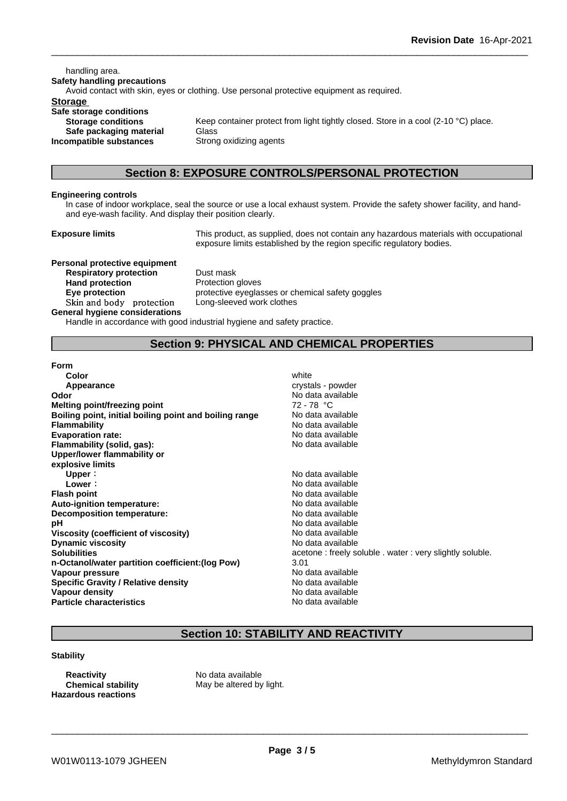handling area. **Safety handling precautions** Avoid contact with skin, eyes or clothing. Use personal protective equipment as required.**Storage Safe storage conditions Storage conditions** Keep container protect from light tightly closed. Store in a cool (2-10 °C) place. **Safe packaging material** Glass **Incompatible substances** Strong oxidizing agents

# **Section 8: EXPOSURE CONTROLS/PERSONAL PROTECTION**

#### **Engineering controls**

In case of indoor workplace, seal the source or use a local exhaust system. Provide the safety shower facility, and handand eye-wash facility. And display their position clearly.

**Exposure limits** This product, as supplied, does not contain any hazardous materials with occupational exposure limits established by the region specific regulatory bodies.

**Personal protective equipment Respiratory protection** Dust mask **Hand protection** Protection gloves **Skinandbody protection** Long-sleeved work clothes **General hygiene considerations**

**Eye protection** protective eyeglasses or chemical safety goggles

Handle in accordance with good industrial hygiene and safety practice.

## **Section 9: PHYSICAL AND CHEMICAL PROPERTIES**

**Form**

| Color                                                  | white                                       |
|--------------------------------------------------------|---------------------------------------------|
| Appearance                                             | crystals - powder                           |
| Odor                                                   | No data available                           |
| Melting point/freezing point                           | $72 - 78 °C$                                |
| Boiling point, initial boiling point and boiling range | No data available                           |
| <b>Flammability</b>                                    | No data available                           |
| <b>Evaporation rate:</b>                               | No data available                           |
| Flammability (solid, gas):                             | No data available                           |
| Upper/lower flammability or                            |                                             |
| explosive limits                                       |                                             |
| Upper:                                                 | No data available                           |
| Lower:                                                 | No data available                           |
| <b>Flash point</b>                                     | No data available                           |
| Auto-ignition temperature:                             | No data available                           |
| Decomposition temperature:                             | No data available                           |
| рH                                                     | No data available                           |
| Viscosity (coefficient of viscosity)                   | No data available                           |
| <b>Dynamic viscosity</b>                               | No data available                           |
| <b>Solubilities</b>                                    | acetone: freely soluble . water: very sligh |
| n-Octanol/water partition coefficient: (log Pow)       | 3.01                                        |
| Vapour pressure                                        | No data available                           |
| <b>Specific Gravity / Relative density</b>             | No data available                           |
| <b>Vapour density</b>                                  | No data available                           |
| <b>Particle characteristics</b>                        | No data available                           |
|                                                        |                                             |

**Odor** No data available **Boiling point, initial boiling point and boiling range** No data available **Flammability** No data available **Evaporation rate:** No data available **Flammability (solid, gas):** No data available **Upper:** No data available **Lower:** No data available **Flash point** No data available **Auto-ignition temperature:** No data available **Decomposition temperature:** No data available No data available **Viscosity (coefficient of viscosity)** No data available **Dynamic viscosity** No data available acetone : freely soluble . water : very slightly soluble. **No data available Specific Gravity / Relative density** No data available **Vapour density** No data available **Particle characteristics** No data available

# **Section 10: STABILITY AND REACTIVITY**

#### **Stability**

**Reactivity** No data available **Hazardous reactions**

**Chemical stability** May be altered by light.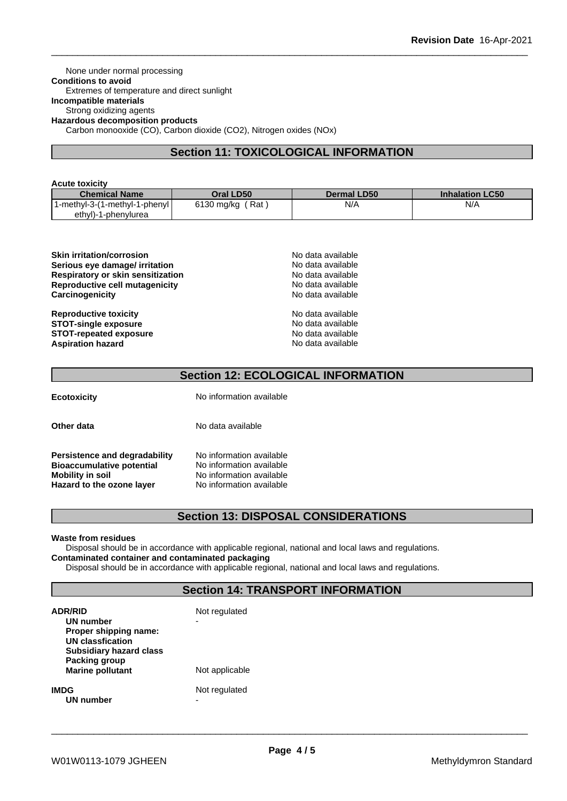None under normal processing **Conditions to avoid** Extremes of temperature and direct sunlight **Incompatible materials** Strong oxidizing agents **Hazardous decomposition products** Carbon monooxide (CO), Carbon dioxide (CO2), Nitrogen oxides (NOx)

# **Section 11: TOXICOLOGICAL INFORMATION**

| <b>Acute toxicity</b>          |                  |                    |                        |
|--------------------------------|------------------|--------------------|------------------------|
| <b>Chemical Name</b>           | Oral LD50        | <b>Dermal LD50</b> | <b>Inhalation LC50</b> |
| 1-methyl-3-(1-methyl-1-phenyl) | 6130 mg/kg (Rat) | N/A                | N/A                    |
| ethyl)-1-phenylurea            |                  |                    |                        |

| <b>Skin irritation/corrosion</b>         | No data available |  |
|------------------------------------------|-------------------|--|
| Serious eye damage/ irritation           | No data available |  |
| <b>Respiratory or skin sensitization</b> | No data available |  |
| Reproductive cell mutagenicity           | No data available |  |
| Carcinogenicity                          | No data available |  |
| <b>Reproductive toxicity</b>             | No data available |  |
| <b>STOT-single exposure</b>              | No data available |  |
| <b>STOT-repeated exposure</b>            | No data available |  |
| <b>Aspiration hazard</b>                 | No data available |  |

# **Section 12: ECOLOGICAL INFORMATION**

**Ecotoxicity** No information available

**Other data** No data available

**Persistence and degradability** No information available<br>**Bioaccumulative potential** No information available **Bioaccumulative potential Mobility in soil**<br> **Hazard to the ozone layer** Mo information available **Hazard** to the ozone layer

# **Section 13: DISPOSAL CONSIDERATIONS**

#### **Waste from residues**

Disposal should be in accordance with applicable regional, national and local laws and regulations. **Contaminated container and contaminated packaging**

Disposal should be in accordance with applicable regional, national and local laws and regulations.

# **Section 14: TRANSPORT INFORMATION**

| <b>ADR/RID</b><br>UN number<br>Proper shipping name:<br><b>UN classfication</b><br><b>Subsidiary hazard class</b> | Not regulated<br>- |  |  |
|-------------------------------------------------------------------------------------------------------------------|--------------------|--|--|
| Packing group<br><b>Marine pollutant</b>                                                                          | Not applicable     |  |  |
| <b>IMDG</b><br>UN number                                                                                          | Not regulated<br>- |  |  |